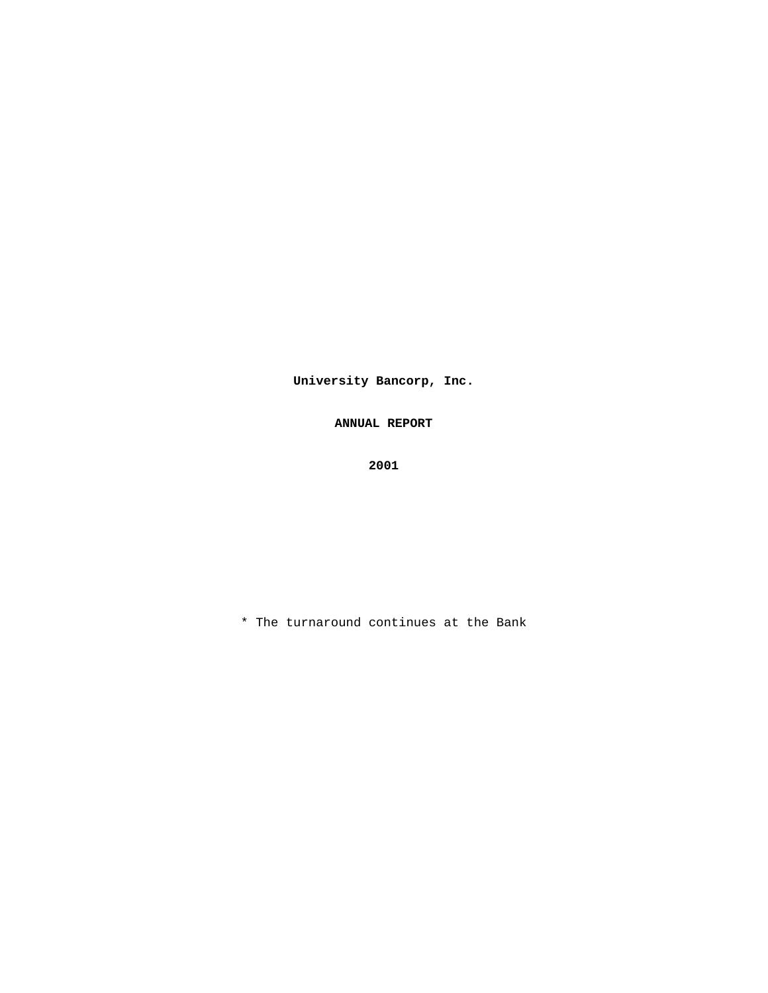**University Bancorp, Inc.** 

**ANNUAL REPORT** 

**2001** 

\* The turnaround continues at the Bank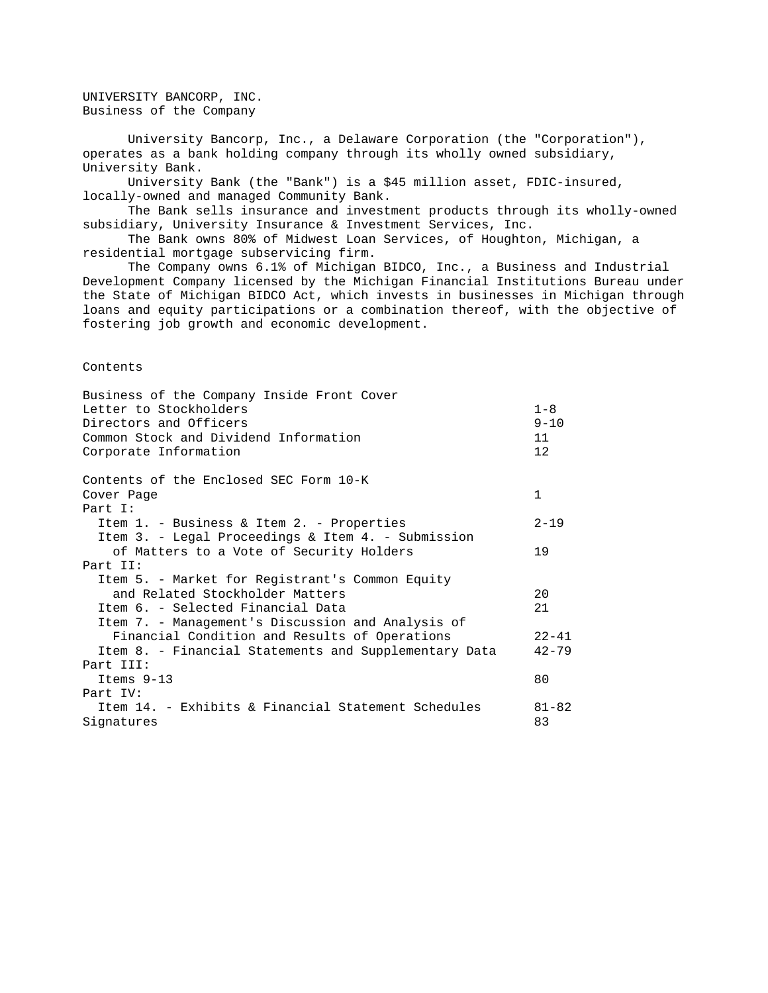UNIVERSITY BANCORP, INC. Business of the Company

 University Bancorp, Inc., a Delaware Corporation (the "Corporation"), operates as a bank holding company through its wholly owned subsidiary, University Bank. University Bank (the "Bank") is a \$45 million asset, FDIC-insured, locally-owned and managed Community Bank. The Bank sells insurance and investment products through its wholly-owned subsidiary, University Insurance & Investment Services, Inc. The Bank owns 80% of Midwest Loan Services, of Houghton, Michigan, a residential mortgage subservicing firm. The Company owns 6.1% of Michigan BIDCO, Inc., a Business and Industrial Development Company licensed by the Michigan Financial Institutions Bureau under the State of Michigan BIDCO Act, which invests in businesses in Michigan through loans and equity participations or a combination thereof, with the objective of fostering job growth and economic development. Contents Business of the Company Inside Front Cover Letter to Stockholders and the stockholders and the stockholders are stockholders and the stockholders are stockholders and the stockholders are stockholders and the stockholders are stockholders and the stockholders are s Directors and Officers 9-10 Common Stock and Dividend Information 11 Corporate Information 12

Contents of the Enclosed SEC Form 10-K Cover Page 1 Part I: Item 1. - Business & Item 2. - Properties 2-19 Item 3. - Legal Proceedings & Item 4. - Submission of Matters to a Vote of Security Holders 19 Part II: Item 5. - Market for Registrant's Common Equity and Related Stockholder Matters 20 Item 6. - Selected Financial Data 21 Item 7. - Management's Discussion and Analysis of Financial Condition and Results of Operations 22-41 Item 8. - Financial Statements and Supplementary Data 42-79 Part III: Items 9-13 80 Part IV: Item 14. - Exhibits & Financial Statement Schedules 81-82 Signatures 83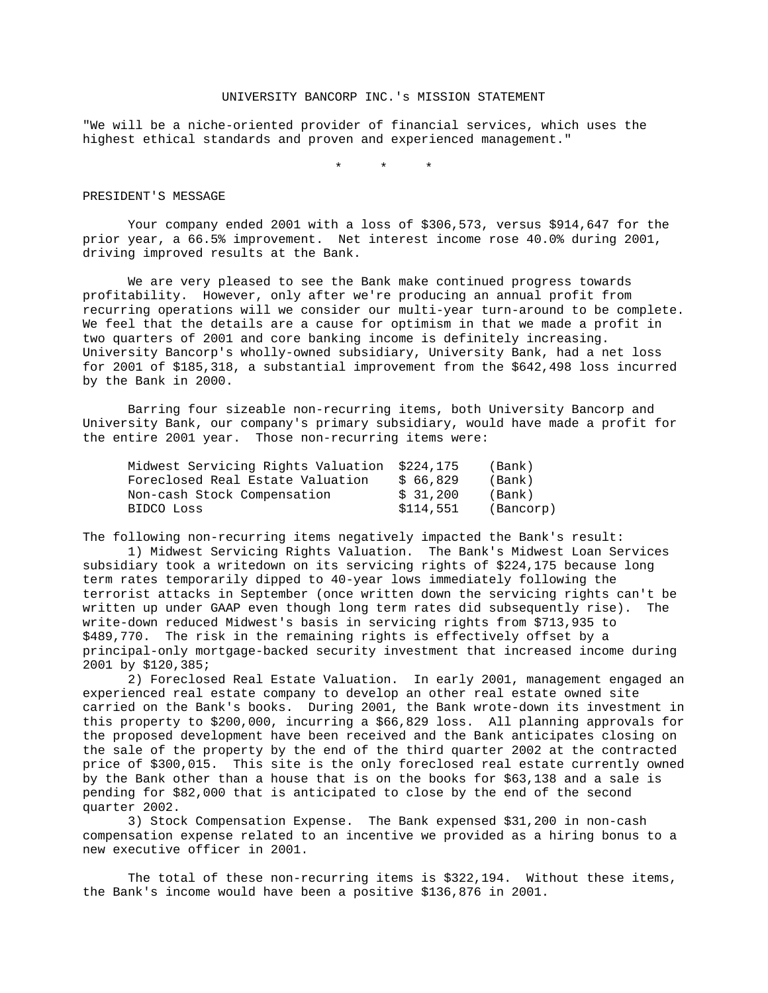### UNIVERSITY BANCORP INC.'s MISSION STATEMENT

"We will be a niche-oriented provider of financial services, which uses the highest ethical standards and proven and experienced management."

\* \* \*

#### PRESIDENT'S MESSAGE

 Your company ended 2001 with a loss of \$306,573, versus \$914,647 for the prior year, a 66.5% improvement. Net interest income rose 40.0% during 2001, driving improved results at the Bank.

 We are very pleased to see the Bank make continued progress towards profitability. However, only after we're producing an annual profit from recurring operations will we consider our multi-year turn-around to be complete. We feel that the details are a cause for optimism in that we made a profit in two quarters of 2001 and core banking income is definitely increasing. University Bancorp's wholly-owned subsidiary, University Bank, had a net loss for 2001 of \$185,318, a substantial improvement from the \$642,498 loss incurred by the Bank in 2000.

 Barring four sizeable non-recurring items, both University Bancorp and University Bank, our company's primary subsidiary, would have made a profit for the entire 2001 year. Those non-recurring items were:

| Midwest Servicing Rights Valuation \$224,175 |           | (Bank)    |
|----------------------------------------------|-----------|-----------|
| Foreclosed Real Estate Valuation             | \$ 66,829 | (Bank)    |
| Non-cash Stock Compensation                  | \$31,200  | (Bank)    |
| BIDCO Loss                                   | \$114,551 | (Bancorp) |

The following non-recurring items negatively impacted the Bank's result:

 1) Midwest Servicing Rights Valuation. The Bank's Midwest Loan Services subsidiary took a writedown on its servicing rights of \$224,175 because long term rates temporarily dipped to 40-year lows immediately following the terrorist attacks in September (once written down the servicing rights can't be written up under GAAP even though long term rates did subsequently rise). The write-down reduced Midwest's basis in servicing rights from \$713,935 to \$489,770. The risk in the remaining rights is effectively offset by a principal-only mortgage-backed security investment that increased income during 2001 by \$120,385;

 2) Foreclosed Real Estate Valuation. In early 2001, management engaged an experienced real estate company to develop an other real estate owned site carried on the Bank's books. During 2001, the Bank wrote-down its investment in this property to \$200,000, incurring a \$66,829 loss. All planning approvals for the proposed development have been received and the Bank anticipates closing on the sale of the property by the end of the third quarter 2002 at the contracted price of \$300,015. This site is the only foreclosed real estate currently owned by the Bank other than a house that is on the books for \$63,138 and a sale is pending for \$82,000 that is anticipated to close by the end of the second quarter 2002.

 3) Stock Compensation Expense. The Bank expensed \$31,200 in non-cash compensation expense related to an incentive we provided as a hiring bonus to a new executive officer in 2001.

 The total of these non-recurring items is \$322,194. Without these items, the Bank's income would have been a positive \$136,876 in 2001.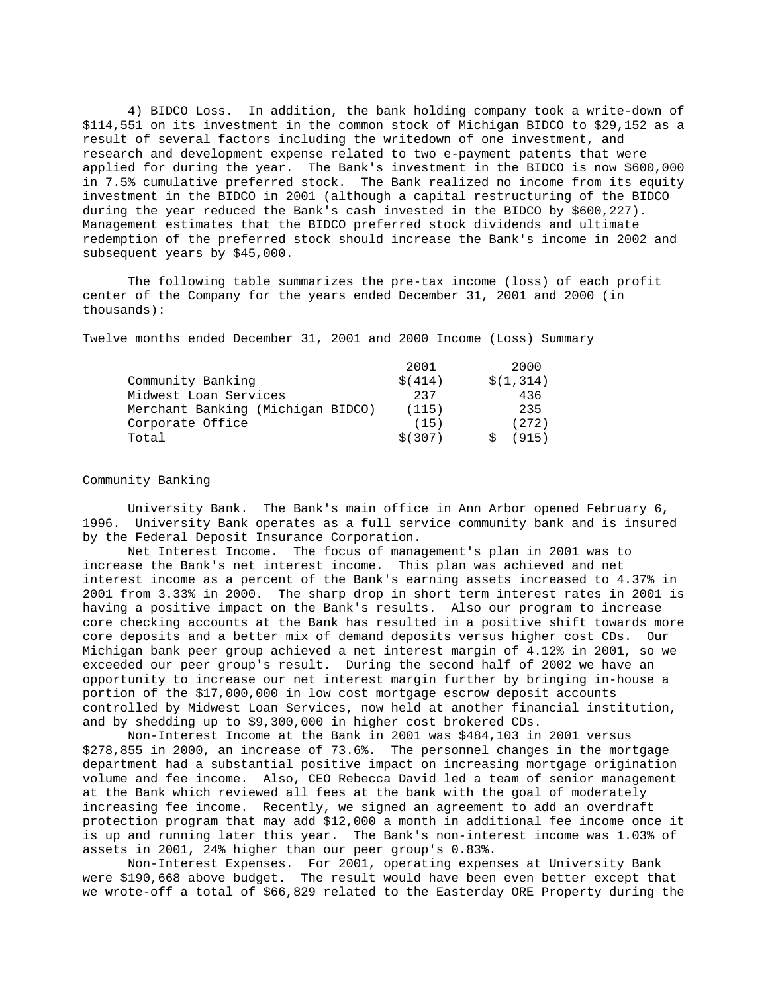4) BIDCO Loss. In addition, the bank holding company took a write-down of \$114,551 on its investment in the common stock of Michigan BIDCO to \$29,152 as a result of several factors including the writedown of one investment, and research and development expense related to two e-payment patents that were applied for during the year. The Bank's investment in the BIDCO is now \$600,000 in 7.5% cumulative preferred stock. The Bank realized no income from its equity investment in the BIDCO in 2001 (although a capital restructuring of the BIDCO during the year reduced the Bank's cash invested in the BIDCO by \$600,227). Management estimates that the BIDCO preferred stock dividends and ultimate redemption of the preferred stock should increase the Bank's income in 2002 and subsequent years by \$45,000.

 The following table summarizes the pre-tax income (loss) of each profit center of the Company for the years ended December 31, 2001 and 2000 (in thousands):

Twelve months ended December 31, 2001 and 2000 Income (Loss) Summary

|                                   | 2001     | 2000      |
|-----------------------------------|----------|-----------|
| Community Banking                 | \$ (414) | \$(1,314) |
| Midwest Loan Services             | 237      | 436       |
| Merchant Banking (Michigan BIDCO) | (115)    | 235       |
| Corporate Office                  | (15)     | (272)     |
| Total                             | \$ (307) | 915)      |

### Community Banking

 University Bank. The Bank's main office in Ann Arbor opened February 6, 1996. University Bank operates as a full service community bank and is insured by the Federal Deposit Insurance Corporation.

 Net Interest Income. The focus of management's plan in 2001 was to increase the Bank's net interest income. This plan was achieved and net interest income as a percent of the Bank's earning assets increased to 4.37% in 2001 from 3.33% in 2000. The sharp drop in short term interest rates in 2001 is having a positive impact on the Bank's results. Also our program to increase core checking accounts at the Bank has resulted in a positive shift towards more core deposits and a better mix of demand deposits versus higher cost CDs. Our Michigan bank peer group achieved a net interest margin of 4.12% in 2001, so we exceeded our peer group's result. During the second half of 2002 we have an opportunity to increase our net interest margin further by bringing in-house a portion of the \$17,000,000 in low cost mortgage escrow deposit accounts controlled by Midwest Loan Services, now held at another financial institution, and by shedding up to \$9,300,000 in higher cost brokered CDs.

 Non-Interest Income at the Bank in 2001 was \$484,103 in 2001 versus \$278,855 in 2000, an increase of 73.6%. The personnel changes in the mortgage department had a substantial positive impact on increasing mortgage origination volume and fee income. Also, CEO Rebecca David led a team of senior management at the Bank which reviewed all fees at the bank with the goal of moderately increasing fee income. Recently, we signed an agreement to add an overdraft protection program that may add \$12,000 a month in additional fee income once it is up and running later this year. The Bank's non-interest income was 1.03% of assets in 2001, 24% higher than our peer group's 0.83%.

 Non-Interest Expenses. For 2001, operating expenses at University Bank were \$190,668 above budget. The result would have been even better except that we wrote-off a total of \$66,829 related to the Easterday ORE Property during the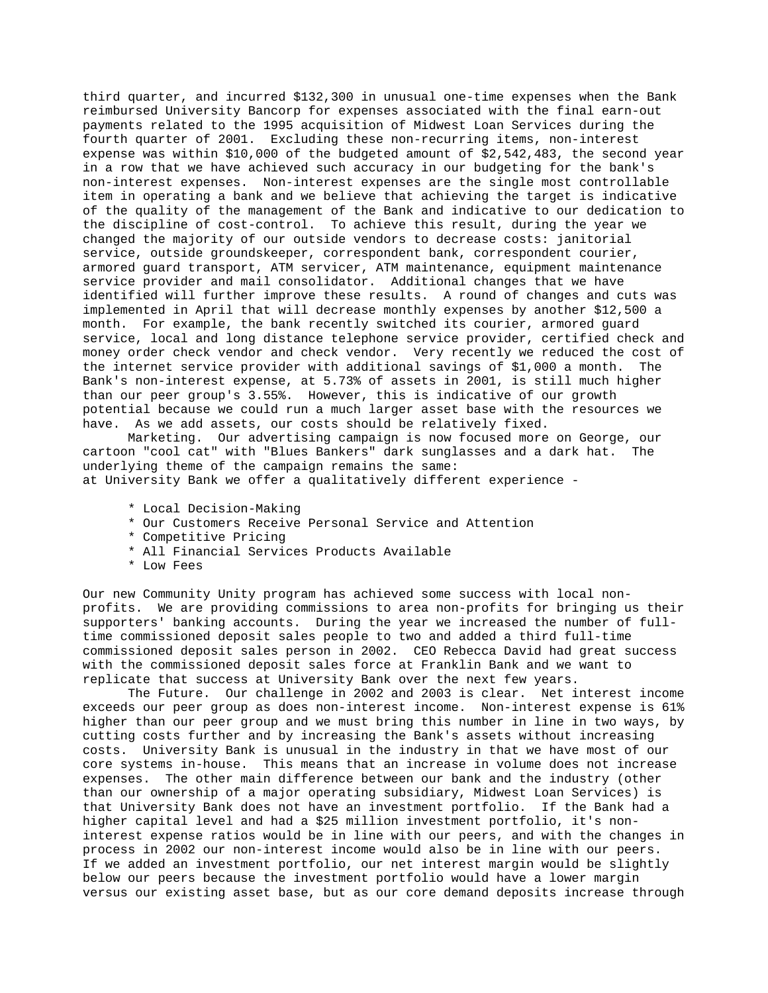third quarter, and incurred \$132,300 in unusual one-time expenses when the Bank reimbursed University Bancorp for expenses associated with the final earn-out payments related to the 1995 acquisition of Midwest Loan Services during the fourth quarter of 2001. Excluding these non-recurring items, non-interest expense was within \$10,000 of the budgeted amount of \$2,542,483, the second year in a row that we have achieved such accuracy in our budgeting for the bank's non-interest expenses. Non-interest expenses are the single most controllable item in operating a bank and we believe that achieving the target is indicative of the quality of the management of the Bank and indicative to our dedication to the discipline of cost-control. To achieve this result, during the year we changed the majority of our outside vendors to decrease costs: janitorial service, outside groundskeeper, correspondent bank, correspondent courier, armored guard transport, ATM servicer, ATM maintenance, equipment maintenance service provider and mail consolidator. Additional changes that we have identified will further improve these results. A round of changes and cuts was implemented in April that will decrease monthly expenses by another \$12,500 a month. For example, the bank recently switched its courier, armored guard service, local and long distance telephone service provider, certified check and money order check vendor and check vendor. Very recently we reduced the cost of the internet service provider with additional savings of \$1,000 a month. The Bank's non-interest expense, at 5.73% of assets in 2001, is still much higher than our peer group's 3.55%. However, this is indicative of our growth potential because we could run a much larger asset base with the resources we have. As we add assets, our costs should be relatively fixed.

 Marketing. Our advertising campaign is now focused more on George, our cartoon "cool cat" with "Blues Bankers" dark sunglasses and a dark hat. The underlying theme of the campaign remains the same: at University Bank we offer a qualitatively different experience -

- \* Local Decision-Making
- \* Our Customers Receive Personal Service and Attention
- \* Competitive Pricing
- \* All Financial Services Products Available
- \* Low Fees

Our new Community Unity program has achieved some success with local nonprofits. We are providing commissions to area non-profits for bringing us their supporters' banking accounts. During the year we increased the number of fulltime commissioned deposit sales people to two and added a third full-time commissioned deposit sales person in 2002. CEO Rebecca David had great success with the commissioned deposit sales force at Franklin Bank and we want to replicate that success at University Bank over the next few years.

 The Future. Our challenge in 2002 and 2003 is clear. Net interest income exceeds our peer group as does non-interest income. Non-interest expense is 61% higher than our peer group and we must bring this number in line in two ways, by cutting costs further and by increasing the Bank's assets without increasing costs. University Bank is unusual in the industry in that we have most of our core systems in-house. This means that an increase in volume does not increase expenses. The other main difference between our bank and the industry (other than our ownership of a major operating subsidiary, Midwest Loan Services) is that University Bank does not have an investment portfolio. If the Bank had a higher capital level and had a \$25 million investment portfolio, it's noninterest expense ratios would be in line with our peers, and with the changes in process in 2002 our non-interest income would also be in line with our peers. If we added an investment portfolio, our net interest margin would be slightly below our peers because the investment portfolio would have a lower margin versus our existing asset base, but as our core demand deposits increase through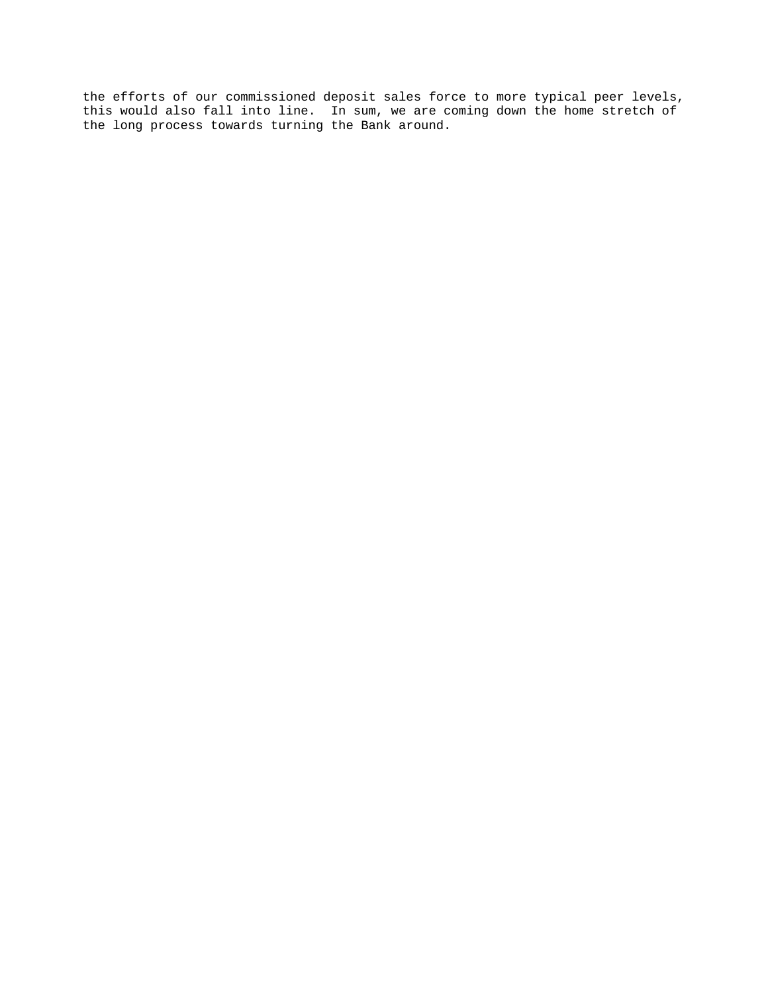the efforts of our commissioned deposit sales force to more typical peer levels, this would also fall into line. In sum, we are coming down the home stretch of the long process towards turning the Bank around.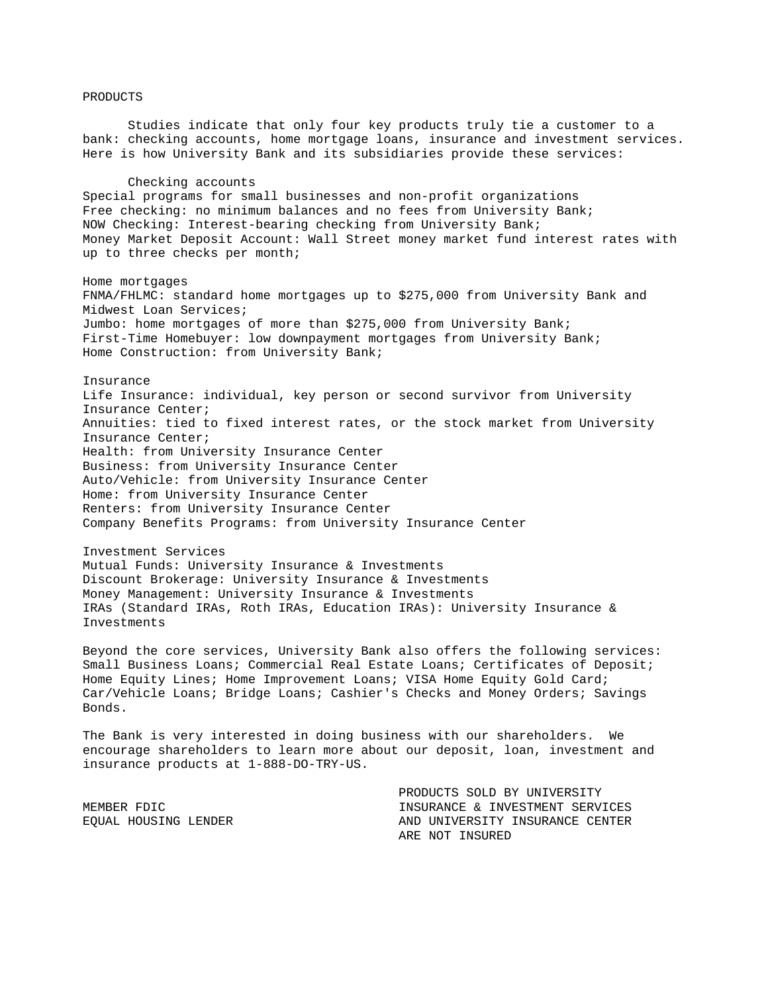## PRODUCTS

 Studies indicate that only four key products truly tie a customer to a bank: checking accounts, home mortgage loans, insurance and investment services. Here is how University Bank and its subsidiaries provide these services:

#### Checking accounts

Special programs for small businesses and non-profit organizations Free checking: no minimum balances and no fees from University Bank; NOW Checking: Interest-bearing checking from University Bank; Money Market Deposit Account: Wall Street money market fund interest rates with up to three checks per month;

## Home mortgages

FNMA/FHLMC: standard home mortgages up to \$275,000 from University Bank and Midwest Loan Services; Jumbo: home mortgages of more than \$275,000 from University Bank; First-Time Homebuyer: low downpayment mortgages from University Bank; Home Construction: from University Bank;

### Insurance

Life Insurance: individual, key person or second survivor from University Insurance Center; Annuities: tied to fixed interest rates, or the stock market from University Insurance Center; Health: from University Insurance Center Business: from University Insurance Center Auto/Vehicle: from University Insurance Center Home: from University Insurance Center Renters: from University Insurance Center Company Benefits Programs: from University Insurance Center

#### Investment Services

Mutual Funds: University Insurance & Investments Discount Brokerage: University Insurance & Investments Money Management: University Insurance & Investments IRAs (Standard IRAs, Roth IRAs, Education IRAs): University Insurance & Investments

Beyond the core services, University Bank also offers the following services: Small Business Loans; Commercial Real Estate Loans; Certificates of Deposit; Home Equity Lines; Home Improvement Loans; VISA Home Equity Gold Card; Car/Vehicle Loans; Bridge Loans; Cashier's Checks and Money Orders; Savings Bonds.

The Bank is very interested in doing business with our shareholders. We encourage shareholders to learn more about our deposit, loan, investment and insurance products at 1-888-DO-TRY-US.

|                      | PRODUCTS SOLD BY UNIVERSITY     |
|----------------------|---------------------------------|
| MEMBER FDIC          | INSURANCE & INVESTMENT SERVICES |
| EOUAL HOUSING LENDER | AND UNIVERSITY INSURANCE CENTER |
|                      | ARE NOT INSURED                 |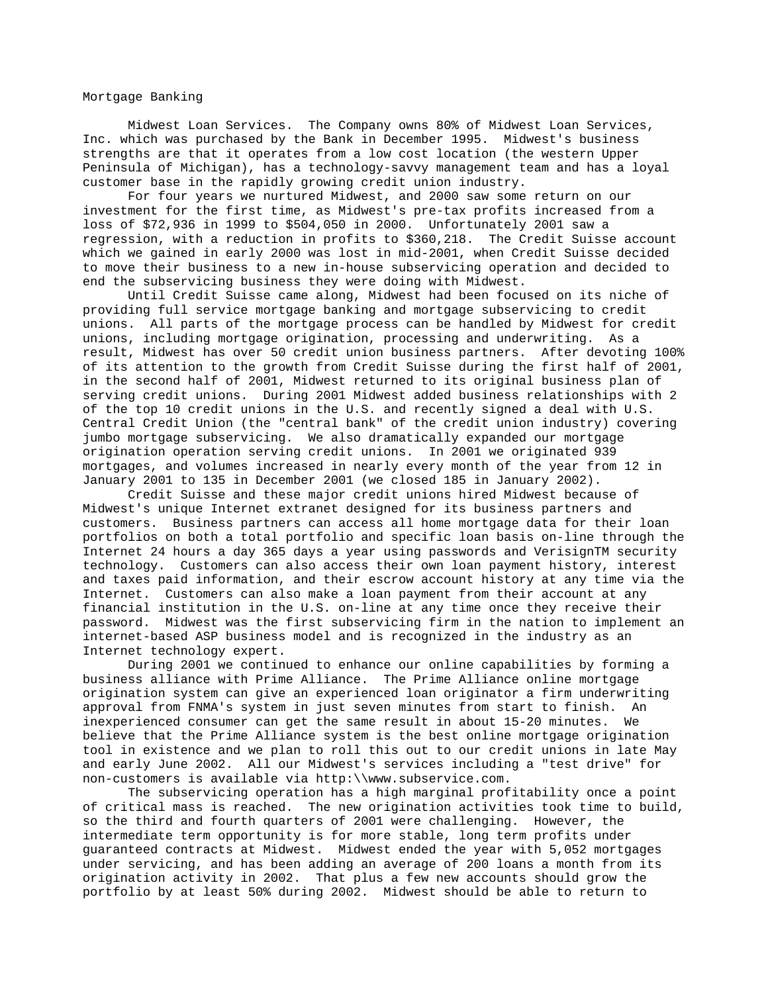Mortgage Banking

 Midwest Loan Services. The Company owns 80% of Midwest Loan Services, Inc. which was purchased by the Bank in December 1995. Midwest's business strengths are that it operates from a low cost location (the western Upper Peninsula of Michigan), has a technology-savvy management team and has a loyal customer base in the rapidly growing credit union industry.

 For four years we nurtured Midwest, and 2000 saw some return on our investment for the first time, as Midwest's pre-tax profits increased from a loss of \$72,936 in 1999 to \$504,050 in 2000. Unfortunately 2001 saw a regression, with a reduction in profits to \$360,218. The Credit Suisse account which we gained in early 2000 was lost in mid-2001, when Credit Suisse decided to move their business to a new in-house subservicing operation and decided to end the subservicing business they were doing with Midwest.

 Until Credit Suisse came along, Midwest had been focused on its niche of providing full service mortgage banking and mortgage subservicing to credit unions. All parts of the mortgage process can be handled by Midwest for credit unions, including mortgage origination, processing and underwriting. As a result, Midwest has over 50 credit union business partners. After devoting 100% of its attention to the growth from Credit Suisse during the first half of 2001, in the second half of 2001, Midwest returned to its original business plan of serving credit unions. During 2001 Midwest added business relationships with 2 of the top 10 credit unions in the U.S. and recently signed a deal with U.S. Central Credit Union (the "central bank" of the credit union industry) covering jumbo mortgage subservicing. We also dramatically expanded our mortgage origination operation serving credit unions. In 2001 we originated 939 mortgages, and volumes increased in nearly every month of the year from 12 in January 2001 to 135 in December 2001 (we closed 185 in January 2002).

 Credit Suisse and these major credit unions hired Midwest because of Midwest's unique Internet extranet designed for its business partners and customers. Business partners can access all home mortgage data for their loan portfolios on both a total portfolio and specific loan basis on-line through the Internet 24 hours a day 365 days a year using passwords and VerisignTM security technology. Customers can also access their own loan payment history, interest and taxes paid information, and their escrow account history at any time via the Internet. Customers can also make a loan payment from their account at any financial institution in the U.S. on-line at any time once they receive their password. Midwest was the first subservicing firm in the nation to implement an internet-based ASP business model and is recognized in the industry as an Internet technology expert.

 During 2001 we continued to enhance our online capabilities by forming a business alliance with Prime Alliance. The Prime Alliance online mortgage origination system can give an experienced loan originator a firm underwriting approval from FNMA's system in just seven minutes from start to finish. An inexperienced consumer can get the same result in about 15-20 minutes. We believe that the Prime Alliance system is the best online mortgage origination tool in existence and we plan to roll this out to our credit unions in late May and early June 2002. All our Midwest's services including a "test drive" for non-customers is available via http:\\www.subservice.com.

 The subservicing operation has a high marginal profitability once a point of critical mass is reached. The new origination activities took time to build, so the third and fourth quarters of 2001 were challenging. However, the intermediate term opportunity is for more stable, long term profits under guaranteed contracts at Midwest. Midwest ended the year with 5,052 mortgages under servicing, and has been adding an average of 200 loans a month from its origination activity in 2002. That plus a few new accounts should grow the portfolio by at least 50% during 2002. Midwest should be able to return to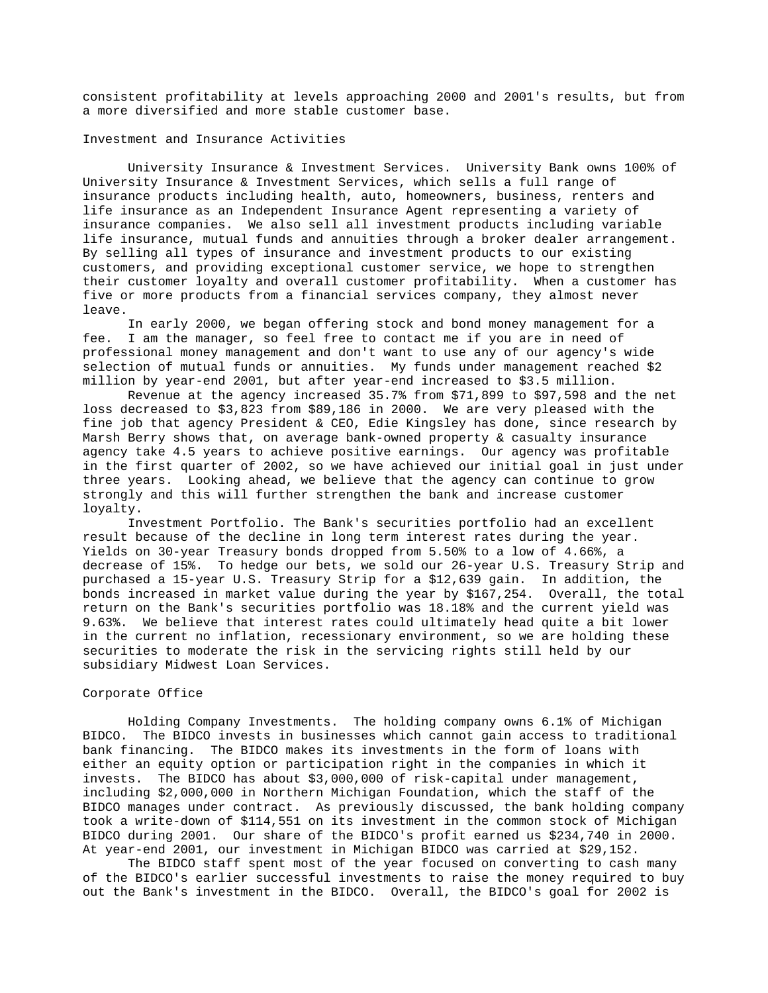consistent profitability at levels approaching 2000 and 2001's results, but from a more diversified and more stable customer base.

## Investment and Insurance Activities

 University Insurance & Investment Services. University Bank owns 100% of University Insurance & Investment Services, which sells a full range of insurance products including health, auto, homeowners, business, renters and life insurance as an Independent Insurance Agent representing a variety of insurance companies. We also sell all investment products including variable life insurance, mutual funds and annuities through a broker dealer arrangement. By selling all types of insurance and investment products to our existing customers, and providing exceptional customer service, we hope to strengthen their customer loyalty and overall customer profitability. When a customer has five or more products from a financial services company, they almost never leave.

 In early 2000, we began offering stock and bond money management for a fee. I am the manager, so feel free to contact me if you are in need of professional money management and don't want to use any of our agency's wide selection of mutual funds or annuities. My funds under management reached \$2 million by year-end 2001, but after year-end increased to \$3.5 million.

 Revenue at the agency increased 35.7% from \$71,899 to \$97,598 and the net loss decreased to \$3,823 from \$89,186 in 2000. We are very pleased with the fine job that agency President & CEO, Edie Kingsley has done, since research by Marsh Berry shows that, on average bank-owned property & casualty insurance agency take 4.5 years to achieve positive earnings. Our agency was profitable in the first quarter of 2002, so we have achieved our initial goal in just under three years. Looking ahead, we believe that the agency can continue to grow strongly and this will further strengthen the bank and increase customer loyalty.

 Investment Portfolio. The Bank's securities portfolio had an excellent result because of the decline in long term interest rates during the year. Yields on 30-year Treasury bonds dropped from 5.50% to a low of 4.66%, a decrease of 15%. To hedge our bets, we sold our 26-year U.S. Treasury Strip and purchased a 15-year U.S. Treasury Strip for a \$12,639 gain. In addition, the bonds increased in market value during the year by \$167,254. Overall, the total return on the Bank's securities portfolio was 18.18% and the current yield was 9.63%. We believe that interest rates could ultimately head quite a bit lower in the current no inflation, recessionary environment, so we are holding these securities to moderate the risk in the servicing rights still held by our subsidiary Midwest Loan Services.

## Corporate Office

 Holding Company Investments. The holding company owns 6.1% of Michigan BIDCO. The BIDCO invests in businesses which cannot gain access to traditional bank financing. The BIDCO makes its investments in the form of loans with either an equity option or participation right in the companies in which it invests. The BIDCO has about \$3,000,000 of risk-capital under management, including \$2,000,000 in Northern Michigan Foundation, which the staff of the BIDCO manages under contract. As previously discussed, the bank holding company took a write-down of \$114,551 on its investment in the common stock of Michigan BIDCO during 2001. Our share of the BIDCO's profit earned us \$234,740 in 2000. At year-end 2001, our investment in Michigan BIDCO was carried at \$29,152.

 The BIDCO staff spent most of the year focused on converting to cash many of the BIDCO's earlier successful investments to raise the money required to buy out the Bank's investment in the BIDCO. Overall, the BIDCO's goal for 2002 is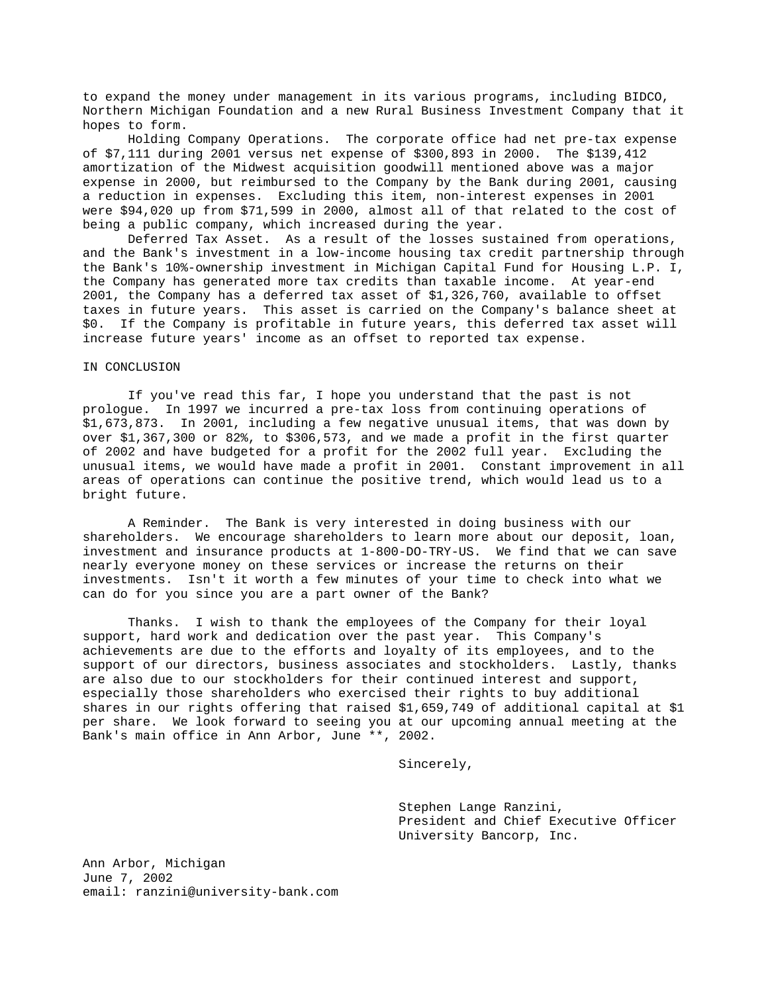to expand the money under management in its various programs, including BIDCO, Northern Michigan Foundation and a new Rural Business Investment Company that it hopes to form.

 Holding Company Operations. The corporate office had net pre-tax expense of \$7,111 during 2001 versus net expense of \$300,893 in 2000. The \$139,412 amortization of the Midwest acquisition goodwill mentioned above was a major expense in 2000, but reimbursed to the Company by the Bank during 2001, causing a reduction in expenses. Excluding this item, non-interest expenses in 2001 were \$94,020 up from \$71,599 in 2000, almost all of that related to the cost of being a public company, which increased during the year.

 Deferred Tax Asset. As a result of the losses sustained from operations, and the Bank's investment in a low-income housing tax credit partnership through the Bank's 10%-ownership investment in Michigan Capital Fund for Housing L.P. I, the Company has generated more tax credits than taxable income. At year-end 2001, the Company has a deferred tax asset of \$1,326,760, available to offset taxes in future years. This asset is carried on the Company's balance sheet at \$0. If the Company is profitable in future years, this deferred tax asset will increase future years' income as an offset to reported tax expense.

### IN CONCLUSION

 If you've read this far, I hope you understand that the past is not prologue. In 1997 we incurred a pre-tax loss from continuing operations of \$1,673,873. In 2001, including a few negative unusual items, that was down by over \$1,367,300 or 82%, to \$306,573, and we made a profit in the first quarter of 2002 and have budgeted for a profit for the 2002 full year. Excluding the unusual items, we would have made a profit in 2001. Constant improvement in all areas of operations can continue the positive trend, which would lead us to a bright future.

 A Reminder. The Bank is very interested in doing business with our shareholders. We encourage shareholders to learn more about our deposit, loan, investment and insurance products at 1-800-DO-TRY-US. We find that we can save nearly everyone money on these services or increase the returns on their investments. Isn't it worth a few minutes of your time to check into what we can do for you since you are a part owner of the Bank?

 Thanks. I wish to thank the employees of the Company for their loyal support, hard work and dedication over the past year. This Company's achievements are due to the efforts and loyalty of its employees, and to the support of our directors, business associates and stockholders. Lastly, thanks are also due to our stockholders for their continued interest and support, especially those shareholders who exercised their rights to buy additional shares in our rights offering that raised \$1,659,749 of additional capital at \$1 per share. We look forward to seeing you at our upcoming annual meeting at the Bank's main office in Ann Arbor, June \*\*, 2002.

Sincerely,

 Stephen Lange Ranzini, President and Chief Executive Officer University Bancorp, Inc.

Ann Arbor, Michigan June 7, 2002 email: ranzini@university-bank.com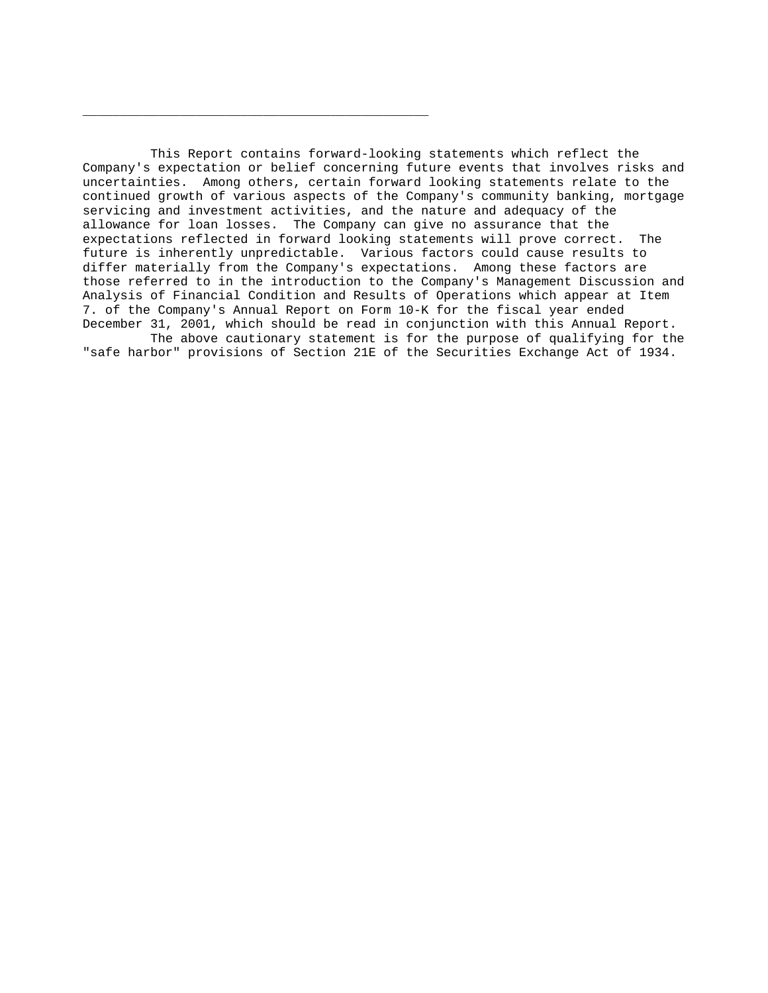This Report contains forward-looking statements which reflect the Company's expectation or belief concerning future events that involves risks and uncertainties. Among others, certain forward looking statements relate to the continued growth of various aspects of the Company's community banking, mortgage servicing and investment activities, and the nature and adequacy of the allowance for loan losses. The Company can give no assurance that the expectations reflected in forward looking statements will prove correct. The future is inherently unpredictable. Various factors could cause results to differ materially from the Company's expectations. Among these factors are those referred to in the introduction to the Company's Management Discussion and Analysis of Financial Condition and Results of Operations which appear at Item 7. of the Company's Annual Report on Form 10-K for the fiscal year ended December 31, 2001, which should be read in conjunction with this Annual Report. The above cautionary statement is for the purpose of qualifying for the

\_\_\_\_\_\_\_\_\_\_\_\_\_\_\_\_\_\_\_\_\_\_\_\_\_\_\_\_\_\_\_\_\_\_\_\_\_\_\_\_\_\_\_\_\_\_

"safe harbor" provisions of Section 21E of the Securities Exchange Act of 1934.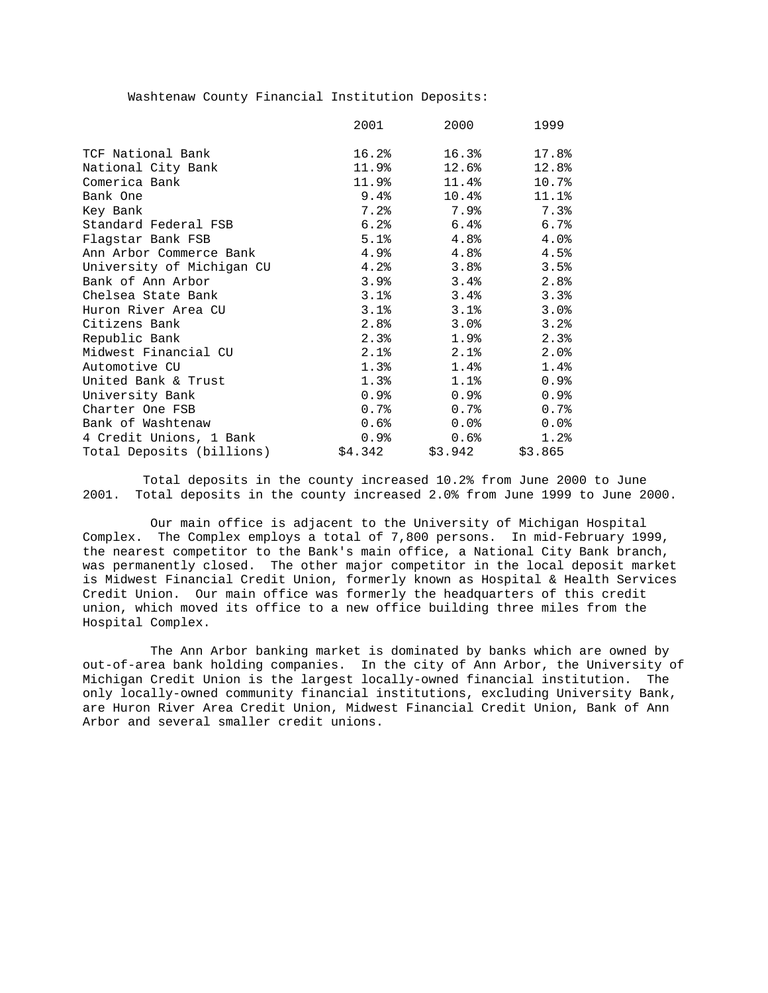Washtenaw County Financial Institution Deposits:

|                           | 2001    | 2000     | 1999    |
|---------------------------|---------|----------|---------|
|                           |         |          |         |
| TCF National Bank         | 16.2%   | 16.3%    | 17.8%   |
| National City Bank        | 11.9%   | 12.6%    | 12.8%   |
| Comerica Bank             | 11.9%   | 11.4%    | 10.7%   |
| Bank One                  | 9.4%    | $10.4\%$ | 11.1%   |
| Key Bank                  | 7.2%    | 7.9%     | 7.3%    |
| Standard Federal FSB      | 6.2%    | 6.4%     | 6.7%    |
| Flagstar Bank FSB         | 5.1%    | 4.8%     | 4.0%    |
| Ann Arbor Commerce Bank   | 4.9%    | 4.8%     | 4.5%    |
| University of Michigan CU | 4.2%    | 3.8%     | 3.5%    |
| Bank of Ann Arbor         | 3.9%    | 3.4%     | 2.8%    |
| Chelsea State Bank        | 3.1%    | 3.4%     | 3.3%    |
| Huron River Area CU       | 3.1%    | 3.1%     | 3.0%    |
| Citizens Bank             | 2.8%    | 3.0%     | 3.2%    |
| Republic Bank             | 2.3%    | 1.9%     | 2.3%    |
| Midwest Financial CU      | 2.1%    | 2.1%     | 2.0%    |
| Automotive CU             | 1.3%    | 1.4%     | 1.4%    |
| United Bank & Trust       | 1.3%    | 1.1%     | 0.9%    |
| University Bank           | 0.9%    | 0.9%     | 0.9%    |
| Charter One FSB           | 0.7%    | 0.7%     | 0.7%    |
| Bank of Washtenaw         | $0.6\%$ | $0.0\%$  | $0.0$ % |
| 4 Credit Unions, 1 Bank   | 0.9%    | 0.6%     | 1.2%    |
| Total Deposits (billions) | \$4.342 | \$3.942  | \$3.865 |

 Total deposits in the county increased 10.2% from June 2000 to June 2001. Total deposits in the county increased 2.0% from June 1999 to June 2000.

 Our main office is adjacent to the University of Michigan Hospital Complex. The Complex employs a total of 7,800 persons. In mid-February 1999, the nearest competitor to the Bank's main office, a National City Bank branch, was permanently closed. The other major competitor in the local deposit market is Midwest Financial Credit Union, formerly known as Hospital & Health Services Credit Union. Our main office was formerly the headquarters of this credit union, which moved its office to a new office building three miles from the Hospital Complex.

 The Ann Arbor banking market is dominated by banks which are owned by out-of-area bank holding companies. In the city of Ann Arbor, the University of Michigan Credit Union is the largest locally-owned financial institution. The only locally-owned community financial institutions, excluding University Bank, are Huron River Area Credit Union, Midwest Financial Credit Union, Bank of Ann Arbor and several smaller credit unions.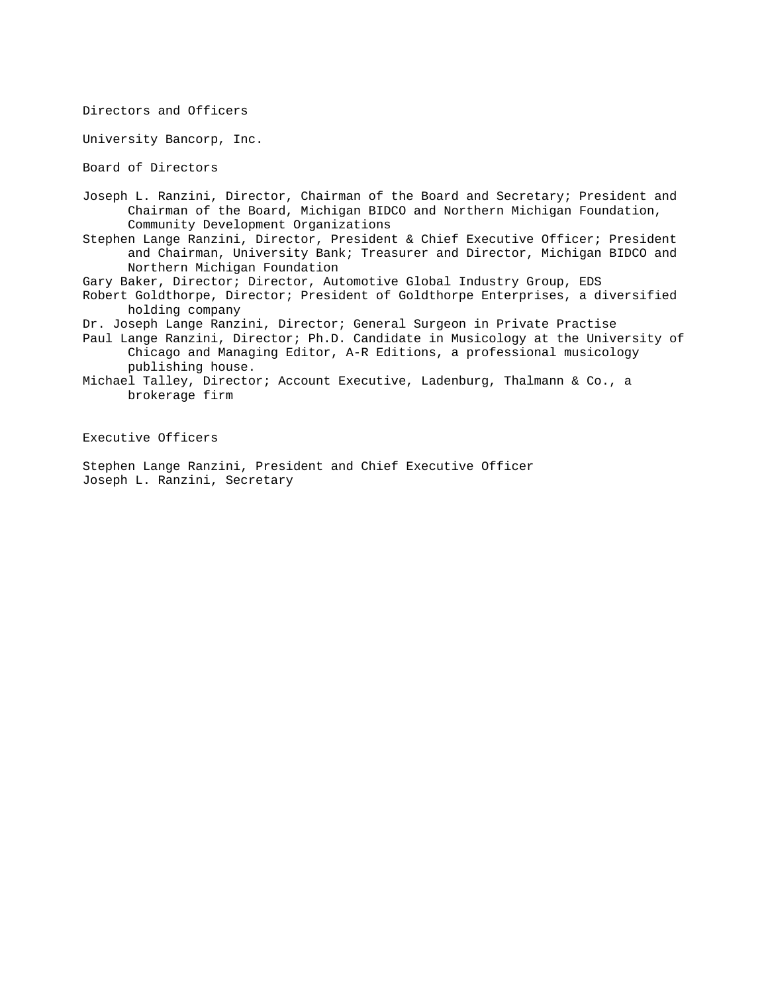Directors and Officers

University Bancorp, Inc.

Board of Directors

Joseph L. Ranzini, Director, Chairman of the Board and Secretary; President and Chairman of the Board, Michigan BIDCO and Northern Michigan Foundation, Community Development Organizations

Stephen Lange Ranzini, Director, President & Chief Executive Officer; President and Chairman, University Bank; Treasurer and Director, Michigan BIDCO and Northern Michigan Foundation

Gary Baker, Director; Director, Automotive Global Industry Group, EDS

Robert Goldthorpe, Director; President of Goldthorpe Enterprises, a diversified holding company

Dr. Joseph Lange Ranzini, Director; General Surgeon in Private Practise

Paul Lange Ranzini, Director; Ph.D. Candidate in Musicology at the University of Chicago and Managing Editor, A-R Editions, a professional musicology publishing house.

Michael Talley, Director; Account Executive, Ladenburg, Thalmann & Co., a brokerage firm

Executive Officers

Stephen Lange Ranzini, President and Chief Executive Officer Joseph L. Ranzini, Secretary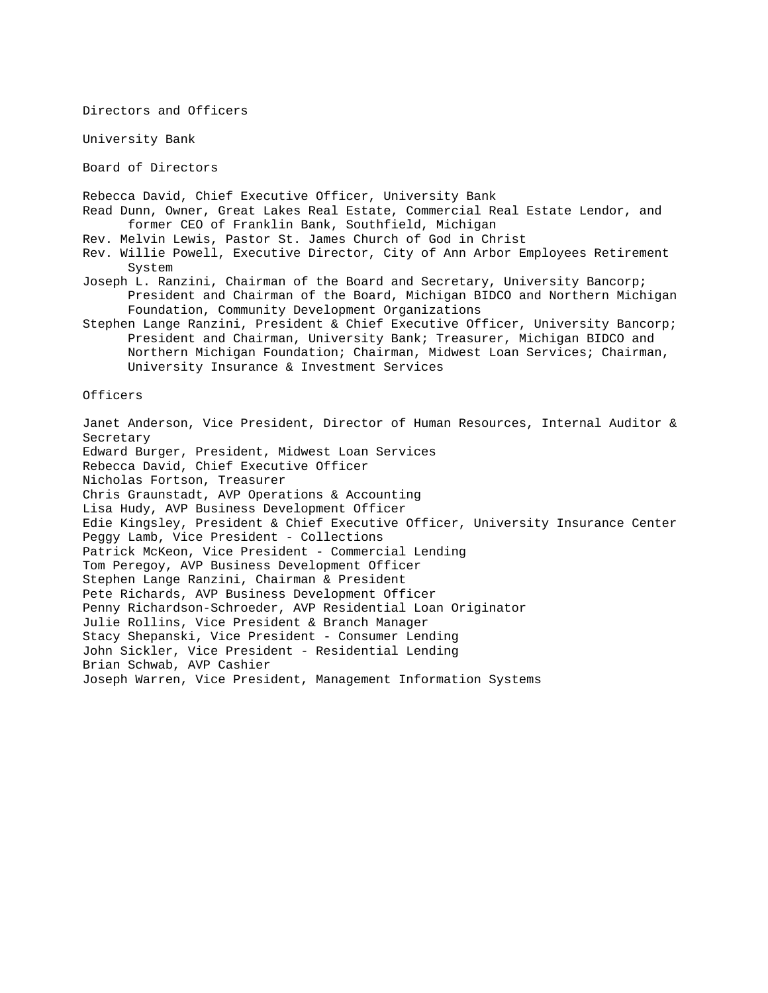Directors and Officers

University Bank

Board of Directors

Rebecca David, Chief Executive Officer, University Bank

- Read Dunn, Owner, Great Lakes Real Estate, Commercial Real Estate Lendor, and former CEO of Franklin Bank, Southfield, Michigan
- Rev. Melvin Lewis, Pastor St. James Church of God in Christ
- Rev. Willie Powell, Executive Director, City of Ann Arbor Employees Retirement System
- Joseph L. Ranzini, Chairman of the Board and Secretary, University Bancorp; President and Chairman of the Board, Michigan BIDCO and Northern Michigan Foundation, Community Development Organizations
- Stephen Lange Ranzini, President & Chief Executive Officer, University Bancorp; President and Chairman, University Bank; Treasurer, Michigan BIDCO and Northern Michigan Foundation; Chairman, Midwest Loan Services; Chairman, University Insurance & Investment Services

Officers

Janet Anderson, Vice President, Director of Human Resources, Internal Auditor & Secretary Edward Burger, President, Midwest Loan Services Rebecca David, Chief Executive Officer Nicholas Fortson, Treasurer Chris Graunstadt, AVP Operations & Accounting Lisa Hudy, AVP Business Development Officer Edie Kingsley, President & Chief Executive Officer, University Insurance Center Peggy Lamb, Vice President - Collections Patrick McKeon, Vice President - Commercial Lending Tom Peregoy, AVP Business Development Officer Stephen Lange Ranzini, Chairman & President Pete Richards, AVP Business Development Officer Penny Richardson-Schroeder, AVP Residential Loan Originator Julie Rollins, Vice President & Branch Manager Stacy Shepanski, Vice President - Consumer Lending John Sickler, Vice President - Residential Lending Brian Schwab, AVP Cashier Joseph Warren, Vice President, Management Information Systems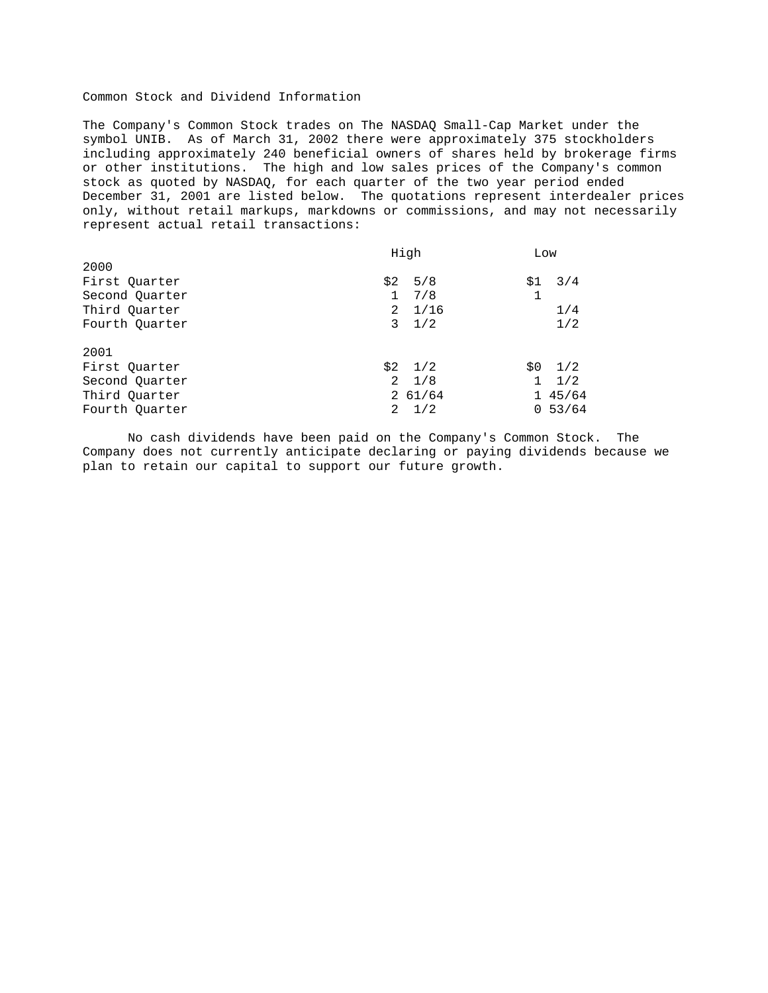# Common Stock and Dividend Information

The Company's Common Stock trades on The NASDAQ Small-Cap Market under the symbol UNIB. As of March 31, 2002 there were approximately 375 stockholders including approximately 240 beneficial owners of shares held by brokerage firms or other institutions. The high and low sales prices of the Company's common stock as quoted by NASDAQ, for each quarter of the two year period ended December 31, 2001 are listed below. The quotations represent interdealer prices only, without retail markups, markdowns or commissions, and may not necessarily represent actual retail transactions:

|                | High                | Low                 |
|----------------|---------------------|---------------------|
| 2000           |                     |                     |
| First Quarter  | \$2<br>5/8          | 3/4<br>\$1          |
| Second Quarter | $\mathbf{1}$<br>7/8 |                     |
| Third Quarter  | $2 \frac{1}{16}$    | 1/4                 |
| Fourth Ouarter | $3 \frac{1}{2}$     | 1/2                 |
| 2001           |                     |                     |
| First Quarter  | $$2$ $1/2$          | $$0$ $1/2$          |
| Second Quarter | $2 \frac{1}{8}$     | 1/2<br>$\mathbf{1}$ |
| Third Quarter  | 261/64              | 145/64              |
| Fourth Ouarter | $2 \frac{1}{2}$     | 0.53/64             |

 No cash dividends have been paid on the Company's Common Stock. The Company does not currently anticipate declaring or paying dividends because we plan to retain our capital to support our future growth.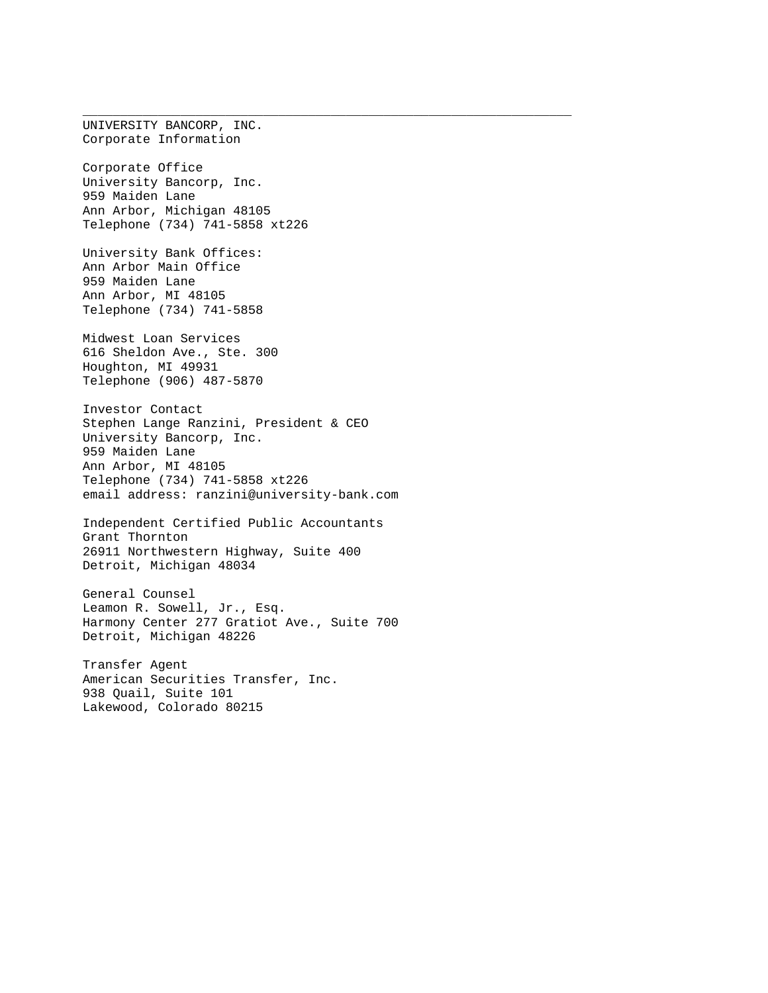UNIVERSITY BANCORP, INC. Corporate Information Corporate Office University Bancorp, Inc. 959 Maiden Lane Ann Arbor, Michigan 48105 Telephone (734) 741-5858 xt226 University Bank Offices: Ann Arbor Main Office 959 Maiden Lane Ann Arbor, MI 48105 Telephone (734) 741-5858 Midwest Loan Services 616 Sheldon Ave., Ste. 300 Houghton, MI 49931 Telephone (906) 487-5870 Investor Contact Stephen Lange Ranzini, President & CEO University Bancorp, Inc. 959 Maiden Lane Ann Arbor, MI 48105 Telephone (734) 741-5858 xt226 email address: ranzini@university-bank.com Independent Certified Public Accountants Grant Thornton 26911 Northwestern Highway, Suite 400 Detroit, Michigan 48034 General Counsel Leamon R. Sowell, Jr., Esq. Harmony Center 277 Gratiot Ave., Suite 700 Detroit, Michigan 48226 Transfer Agent American Securities Transfer, Inc. 938 Quail, Suite 101 Lakewood, Colorado 80215

\_\_\_\_\_\_\_\_\_\_\_\_\_\_\_\_\_\_\_\_\_\_\_\_\_\_\_\_\_\_\_\_\_\_\_\_\_\_\_\_\_\_\_\_\_\_\_\_\_\_\_\_\_\_\_\_\_\_\_\_\_\_\_\_\_